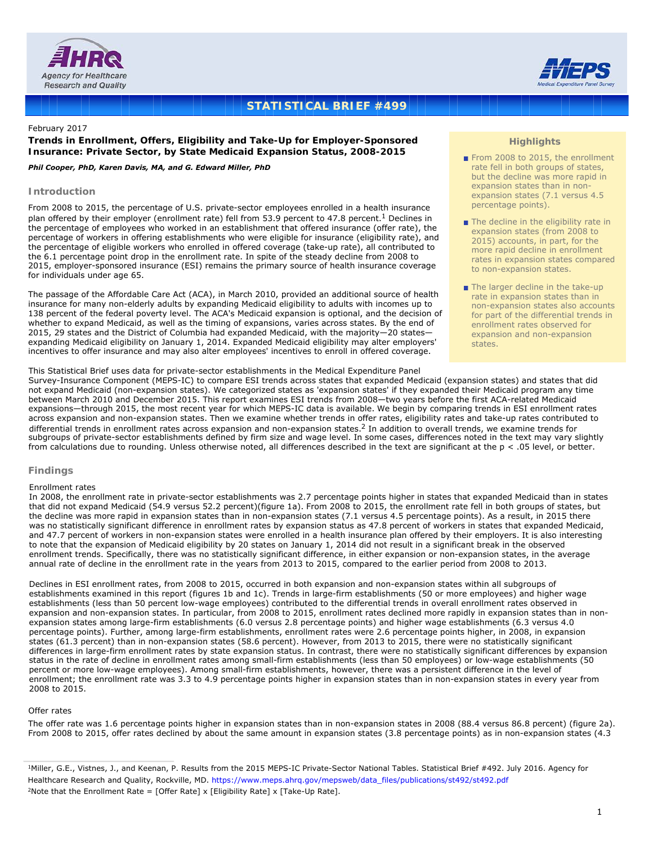



# **STATISTICAL BRIEF #499**

# February 2017

**Trends in Enrollment, Offers, Eligibility and Take-Up for Employer-Sponsored Insurance: Private Sector, by State Medicaid Expansion Status, 2008-2015**

# *Phil Cooper, PhD, Karen Davis, MA, and G. Edward Miller, PhD*

# **Introduction**

From 2008 to 2015, the percentage of U.S. private-sector employees enrolled in a health insurance plan offered by their employer (enrollment rate) fell from 53.9 percent to 47.8 percent.<sup>1</sup> Declines in the percentage of employees who worked in an establishment that offered insurance (offer rate), the percentage of workers in offering establishments who were eligible for insurance (eligibility rate), and the percentage of eligible workers who enrolled in offered coverage (take-up rate), all contributed to the 6.1 percentage point drop in the enrollment rate. In spite of the steady decline from 2008 to 2015, employer-sponsored insurance (ESI) remains the primary source of health insurance coverage for individuals under age 65.

The passage of the Affordable Care Act (ACA), in March 2010, provided an additional source of health insurance for many non-elderly adults by expanding Medicaid eligibility to adults with incomes up to 138 percent of the federal poverty level. The ACA's Medicaid expansion is optional, and the decision of whether to expand Medicaid, as well as the timing of expansions, varies across states. By the end of 2015, 29 states and the District of Columbia had expanded Medicaid, with the majority—20 states expanding Medicaid eligibility on January 1, 2014. Expanded Medicaid eligibility may alter employers' incentives to offer insurance and may also alter employees' incentives to enroll in offered coverage.

# This Statistical Brief uses data for private-sector establishments in the Medical Expenditure Panel

Survey-Insurance Component (MEPS-IC) to compare ESI trends across states that expanded Medicaid (expansion states) and states that did not expand Medicaid (non-expansion states). We categorized states as 'expansion states' if they expanded their Medicaid program any time between March 2010 and December 2015. This report examines ESI trends from 2008—two years before the first ACA-related Medicaid expansions—through 2015, the most recent year for which MEPS-IC data is available. We begin by comparing trends in ESI enrollment rates across expansion and non-expansion states. Then we examine whether trends in offer rates, eligibility rates and take-up rates contributed to differential trends in enrollment rates across expansion and non-expansion states.<sup>2</sup> In addition to overall trends, we examine trends for subgroups of private-sector establishments defined by firm size and wage level. In some cases, differences noted in the text may vary slightly from calculations due to rounding. Unless otherwise noted, all differences described in the text are significant at the p < .05 level, or better.

# **Findings**

# *Enrollment rates*

In 2008, the enrollment rate in private-sector establishments was 2.7 percentage points higher in states that expanded Medicaid than in states that did not expand Medicaid (54.9 versus 52.2 percent)(figure 1a). From 2008 to 2015, the enrollment rate fell in both groups of states, but the decline was more rapid in expansion states than in non-expansion states (7.1 versus 4.5 percentage points). As a result, in 2015 there was no statistically significant difference in enrollment rates by expansion status as 47.8 percent of workers in states that expanded Medicaid, and 47.7 percent of workers in non-expansion states were enrolled in a health insurance plan offered by their employers. It is also interesting to note that the expansion of Medicaid eligibility by 20 states on January 1, 2014 did not result in a significant break in the observed enrollment trends. Specifically, there was no statistically significant difference, in either expansion or non-expansion states, in the average annual rate of decline in the enrollment rate in the years from 2013 to 2015, compared to the earlier period from 2008 to 2013.

Declines in ESI enrollment rates, from 2008 to 2015, occurred in both expansion and non-expansion states within all subgroups of establishments examined in this report (figures 1b and 1c). Trends in large-firm establishments (50 or more employees) and higher wage establishments (less than 50 percent low-wage employees) contributed to the differential trends in overall enrollment rates observed in expansion and non-expansion states. In particular, from 2008 to 2015, enrollment rates declined more rapidly in expansion states than in nonexpansion states among large-firm establishments (6.0 versus 2.8 percentage points) and higher wage establishments (6.3 versus 4.0 percentage points). Further, among large-firm establishments, enrollment rates were 2.6 percentage points higher, in 2008, in expansion states (61.3 percent) than in non-expansion states (58.6 percent). However, from 2013 to 2015, there were no statistically significant differences in large-firm enrollment rates by state expansion status. In contrast, there were no statistically significant differences by expansion status in the rate of decline in enrollment rates among small-firm establishments (less than 50 employees) or low-wage establishments (50 percent or more low-wage employees). Among small-firm establishments, however, there was a persistent difference in the level of enrollment; the enrollment rate was 3.3 to 4.9 percentage points higher in expansion states than in non-expansion states in every year from 2008 to 2015.

# *Offer rates*

The offer rate was 1.6 percentage points higher in expansion states than in non-expansion states in 2008 (88.4 versus 86.8 percent) (figure 2a). From 2008 to 2015, offer rates declined by about the same amount in expansion states (3.8 percentage points) as in non-expansion states (4.3

# **Highlights**

- From 2008 to 2015, the enrollment rate fell in both groups of states, but the decline was more rapid in expansion states than in nonexpansion states (7.1 versus 4.5 percentage points).
- The decline in the eligibility rate in expansion states (from 2008 to 2015) accounts, in part, for the more rapid decline in enrollment rates in expansion states compared to non-expansion states.
- The larger decline in the take-up rate in expansion states than in non-expansion states also accounts for part of the differential trends in enrollment rates observed for expansion and non-expansion states.

<sup>1</sup>Miller, G.E., Vistnes, J., and Keenan, P. Results from the 2015 MEPS-IC Private-Sector National Tables. Statistical Brief #492. July 2016. Agency for Healthcare Research and Quality, Rockville, MD. [https://www.meps.ahrq.gov/mepsweb/data\\_files/publications/st492/st492.pdf](https://www.meps.ahrq.gov/mepsweb/data_files/publications/st492/st492.pdf) <sup>2</sup>Note that the Enrollment Rate = [Offer Rate] x [Eligibility Rate] x [Take-Up Rate].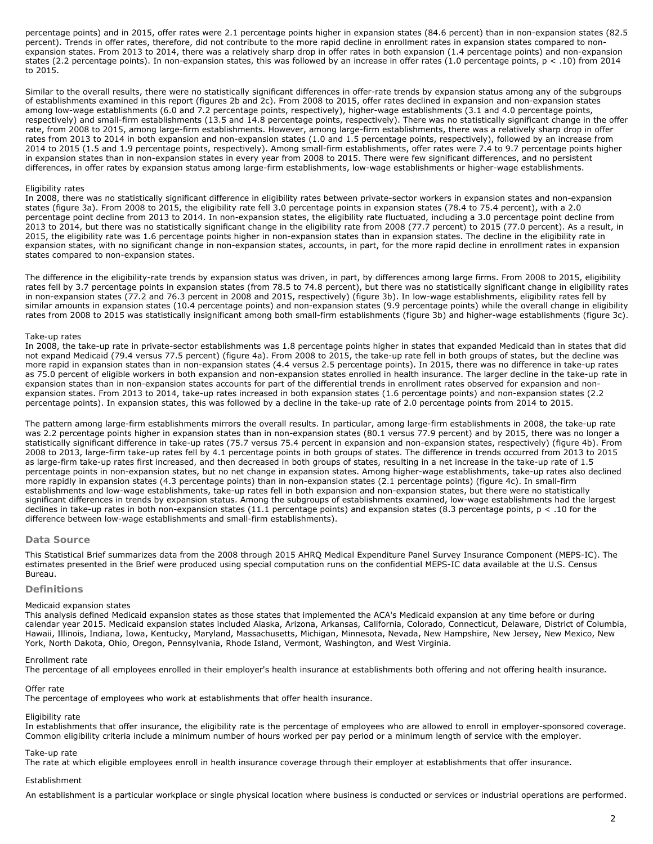percentage points) and in 2015, offer rates were 2.1 percentage points higher in expansion states (84.6 percent) than in non-expansion states (82.5 percent). Trends in offer rates, therefore, did not contribute to the more rapid decline in enrollment rates in expansion states compared to nonexpansion states. From 2013 to 2014, there was a relatively sharp drop in offer rates in both expansion (1.4 percentage points) and non-expansion states (2.2 percentage points). In non-expansion states, this was followed by an increase in offer rates (1.0 percentage points,  $p < .10$ ) from 2014 to 2015.

Similar to the overall results, there were no statistically significant differences in offer-rate trends by expansion status among any of the subgroups of establishments examined in this report (figures 2b and 2c). From 2008 to 2015, offer rates declined in expansion and non-expansion states among low-wage establishments (6.0 and 7.2 percentage points, respectively), higher-wage establishments (3.1 and 4.0 percentage points, respectively) and small-firm establishments (13.5 and 14.8 percentage points, respectively). There was no statistically significant change in the offer rate, from 2008 to 2015, among large-firm establishments. However, among large-firm establishments, there was a relatively sharp drop in offer rates from 2013 to 2014 in both expansion and non-expansion states (1.0 and 1.5 percentage points, respectively), followed by an increase from 2014 to 2015 (1.5 and 1.9 percentage points, respectively). Among small-firm establishments, offer rates were 7.4 to 9.7 percentage points higher in expansion states than in non-expansion states in every year from 2008 to 2015. There were few significant differences, and no persistent differences, in offer rates by expansion status among large-firm establishments, low-wage establishments or higher-wage establishments.

# *Eligibility rates*

In 2008, there was no statistically significant difference in eligibility rates between private-sector workers in expansion states and non-expansion states (figure 3a). From 2008 to 2015, the eligibility rate fell 3.0 percentage points in expansion states (78.4 to 75.4 percent), with a 2.0 percentage point decline from 2013 to 2014. In non-expansion states, the eligibility rate fluctuated, including a 3.0 percentage point decline from 2013 to 2014, but there was no statistically significant change in the eligibility rate from 2008 (77.7 percent) to 2015 (77.0 percent). As a result, in 2015, the eligibility rate was 1.6 percentage points higher in non-expansion states than in expansion states. The decline in the eligibility rate in expansion states, with no significant change in non-expansion states, accounts, in part, for the more rapid decline in enrollment rates in expansion states compared to non-expansion states.

The difference in the eligibility-rate trends by expansion status was driven, in part, by differences among large firms. From 2008 to 2015, eligibility rates fell by 3.7 percentage points in expansion states (from 78.5 to 74.8 percent), but there was no statistically significant change in eligibility rates in non-expansion states (77.2 and 76.3 percent in 2008 and 2015, respectively) (figure 3b). In low-wage establishments, eligibility rates fell by similar amounts in expansion states (10.4 percentage points) and non-expansion states (9.9 percentage points) while the overall change in eligibility rates from 2008 to 2015 was statistically insignificant among both small-firm establishments (figure 3b) and higher-wage establishments (figure 3c).

#### *Take-up rates*

In 2008, the take-up rate in private-sector establishments was 1.8 percentage points higher in states that expanded Medicaid than in states that did not expand Medicaid (79.4 versus 77.5 percent) (figure 4a). From 2008 to 2015, the take-up rate fell in both groups of states, but the decline was more rapid in expansion states than in non-expansion states (4.4 versus 2.5 percentage points). In 2015, there was no difference in take-up rates as 75.0 percent of eligible workers in both expansion and non-expansion states enrolled in health insurance. The larger decline in the take-up rate in expansion states than in non-expansion states accounts for part of the differential trends in enrollment rates observed for expansion and nonexpansion states. From 2013 to 2014, take-up rates increased in both expansion states (1.6 percentage points) and non-expansion states (2.2 percentage points). In expansion states, this was followed by a decline in the take-up rate of 2.0 percentage points from 2014 to 2015.

The pattern among large-firm establishments mirrors the overall results. In particular, among large-firm establishments in 2008, the take-up rate was 2.2 percentage points higher in expansion states than in non-expansion states (80.1 versus 77.9 percent) and by 2015, there was no longer a statistically significant difference in take-up rates (75.7 versus 75.4 percent in expansion and non-expansion states, respectively) (figure 4b). From 2008 to 2013, large-firm take-up rates fell by 4.1 percentage points in both groups of states. The difference in trends occurred from 2013 to 2015 as large-firm take-up rates first increased, and then decreased in both groups of states, resulting in a net increase in the take-up rate of 1.5 percentage points in non-expansion states, but no net change in expansion states. Among higher-wage establishments, take-up rates also declined more rapidly in expansion states (4.3 percentage points) than in non-expansion states (2.1 percentage points) (figure 4c). In small-firm establishments and low-wage establishments, take-up rates fell in both expansion and non-expansion states, but there were no statistically significant differences in trends by expansion status. Among the subgroups of establishments examined, low-wage establishments had the largest declines in take-up rates in both non-expansion states (11.1 percentage points) and expansion states (8.3 percentage points, p < .10 for the difference between low-wage establishments and small-firm establishments).

# **Data Source**

This Statistical Brief summarizes data from the 2008 through 2015 AHRQ Medical Expenditure Panel Survey Insurance Component (MEPS-IC). The estimates presented in the Brief were produced using special computation runs on the confidential MEPS-IC data available at the U.S. Census Bureau.

#### **Definitions**

#### *Medicaid expansion states*

This analysis defined Medicaid expansion states as those states that implemented the ACA's Medicaid expansion at any time before or during calendar year 2015. Medicaid expansion states included Alaska, Arizona, Arkansas, California, Colorado, Connecticut, Delaware, District of Columbia, Hawaii, Illinois, Indiana, Iowa, Kentucky, Maryland, Massachusetts, Michigan, Minnesota, Nevada, New Hampshire, New Jersey, New Mexico, New York, North Dakota, Ohio, Oregon, Pennsylvania, Rhode Island, Vermont, Washington, and West Virginia.

### *Enrollment rate*

The percentage of all employees enrolled in their employer's health insurance at establishments both offering and not offering health insurance.

#### *Offer rate*

The percentage of employees who work at establishments that offer health insurance.

#### *Eligibility rate*

In establishments that offer insurance, the eligibility rate is the percentage of employees who are allowed to enroll in employer-sponsored coverage. Common eligibility criteria include a minimum number of hours worked per pay period or a minimum length of service with the employer.

#### *Take-up rate*

The rate at which eligible employees enroll in health insurance coverage through their employer at establishments that offer insurance.

# *Establishment*

An establishment is a particular workplace or single physical location where business is conducted or services or industrial operations are performed.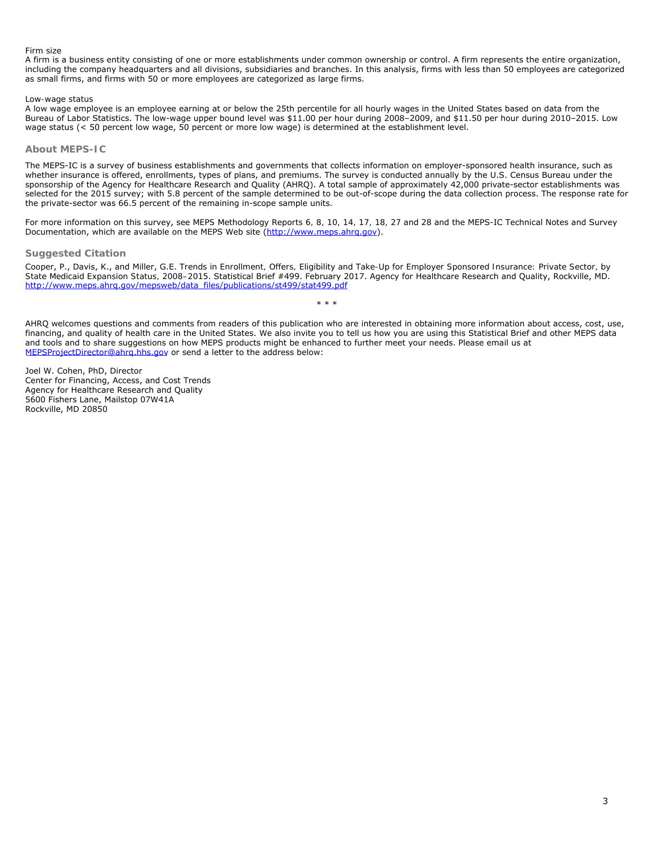# *Firm size*

A firm is a business entity consisting of one or more establishments under common ownership or control. A firm represents the entire organization, including the company headquarters and all divisions, subsidiaries and branches. In this analysis, firms with less than 50 employees are categorized as small firms, and firms with 50 or more employees are categorized as large firms.

# *Low-wage status*

A low wage employee is an employee earning at or below the 25th percentile for all hourly wages in the United States based on data from the Bureau of Labor Statistics. The low-wage upper bound level was \$11.00 per hour during 2008–2009, and \$11.50 per hour during 2010–2015. Low wage status (< 50 percent low wage, 50 percent or more low wage) is determined at the establishment level.

# **About MEPS-IC**

The MEPS-IC is a survey of business establishments and governments that collects information on employer-sponsored health insurance, such as whether insurance is offered, enrollments, types of plans, and premiums. The survey is conducted annually by the U.S. Census Bureau under the sponsorship of the Agency for Healthcare Research and Quality (AHRQ). A total sample of approximately 42,000 private-sector establishments was selected for the 2015 survey; with 5.8 percent of the sample determined to be out-of-scope during the data collection process. The response rate for the private-sector was 66.5 percent of the remaining in-scope sample units.

For more information on this survey, see *MEPS Methodology Reports 6, 8, 10, 14, 17, 18, 27* and *28* and the MEPS-IC Technical Notes and Survey Documentation, which are available on the MEPS Web site [\(http://www.meps.ahrq.gov](http://www.meps.ahrq.gov/)).

# **Suggested Citation**

Cooper, P., Davis, K., and Miller, G.E. *Trends in Enrollment, Offers, Eligibility and Take-Up for Employer Sponsored Insurance: Private Sector, by State Medicaid Expansion Status, 2008–2015*. Statistical Brief #499. February 2017. Agency for Healthcare Research and Quality, Rockville, MD. [http://www.meps.ahrq.gov/mepsweb/data\\_files/publications/st499/stat499.pdf](http://www.meps.ahrq.gov/mepsweb/data_files/publications/st499/stat499.pdf)

AHRQ welcomes questions and comments from readers of this publication who are interested in obtaining more information about access, cost, use, financing, and quality of health care in the United States. We also invite you to tell us how you are using this Statistical Brief and other MEPS data and tools and to share suggestions on how MEPS products might be enhanced to further meet your needs. Please email us at [MEPSProjectDirector@ahrq.hhs.gov](file:///T|/Ah4Web/MEPSPUBS/gen_sb/data_files/publications/sb499/MEPSProjectDirector@ahrq.hhs.gov) or send a letter to the address below:

\* \* \*

Joel W. Cohen, PhD, Director Center for Financing, Access, and Cost Trends Agency for Healthcare Research and Quality 5600 Fishers Lane, Mailstop 07W41A Rockville, MD 20850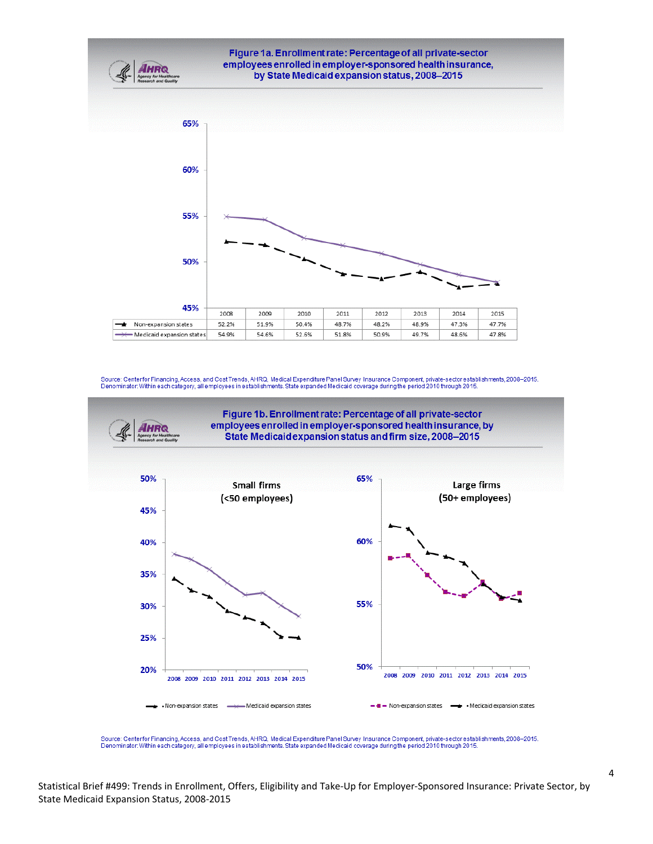

Source: Centerfor Financing, Access, and Cost Trends, AHRQ, Medical Expenditure Panel Survey Insurance Component, private-sector establishments, 2008–2015.<br>Denominator: Within each category, all employees in establishments



Source: Centerfor Financing, Access, and Cost Trends, AHRQ, Medical Expenditure Panel Survey Insurance Component, private-sector establishments, 2008-2015. Denominator: Within each category, all employees in establishments. State expanded Medicaid coverage during the period 2010 through 2015.

4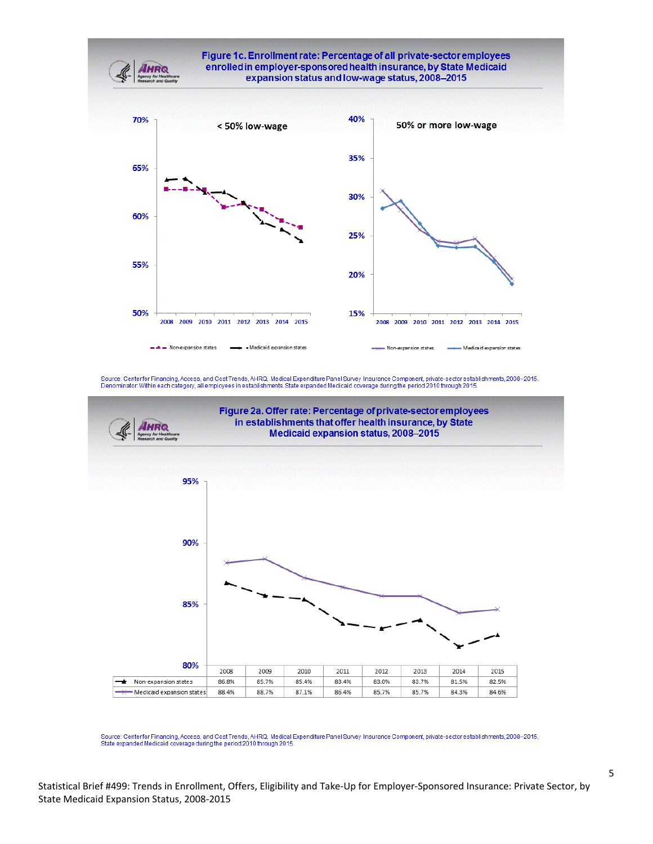



Source: Centerfor Financing, Access, and Cost Trends, AHRQ, Medical Expenditure Panel Survey Insurance Component, private-sector establishments, 2008-2015.<br>State expanded Medicaid coverage during the period 2010 through 20

5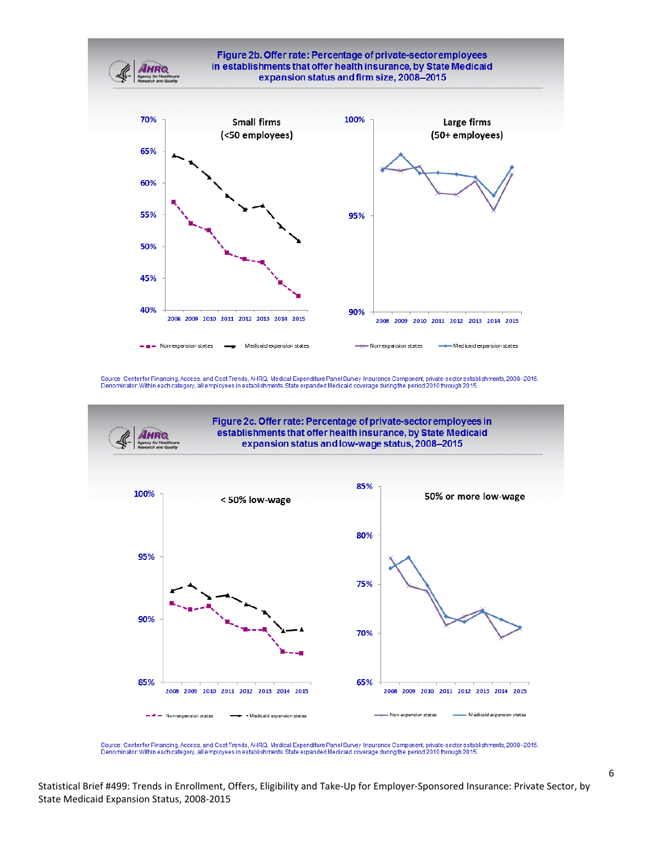



Source: Centerfor Financing, Access, and Cost Trends, AHRQ, Medical Expenditure Panel Survey Insurance Component, private-sector establishments, 2008–2015.<br>Denominator: Within each category, all employees in establishments

Statistical Brief #499: Trends in Enrollment, Offers, Eligibility and Take‐Up for Employer‐Sponsored Insurance: Private Sector, by State Medicaid Expansion Status, 2008‐2015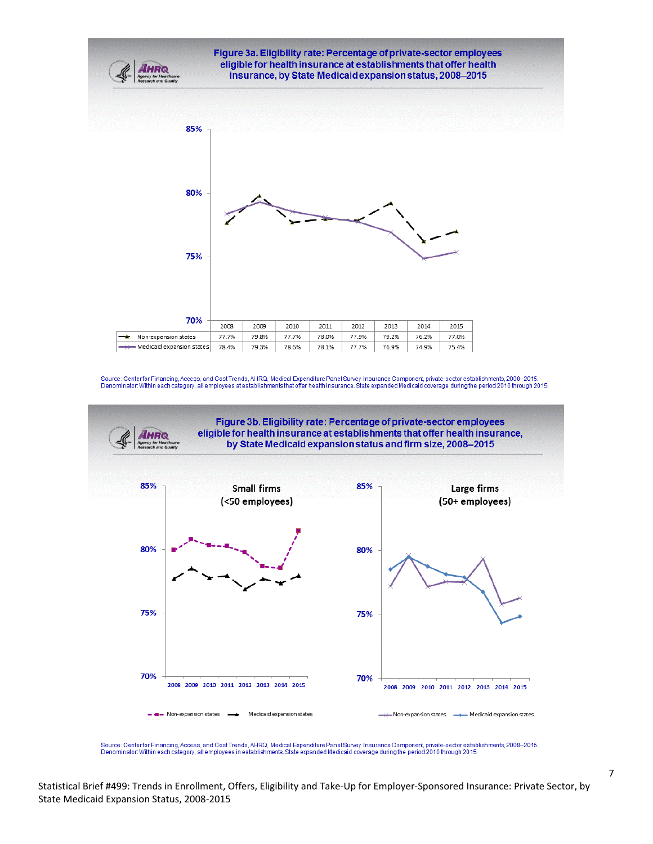

Source: Centerfor Financing, Access, and Cost Trends, AHRQ, Medical Expenditure Panel Survey Insurance Component, private-sector establishments, 2008–2015.<br>Denominator: Within each category, all employees at establishments



Source: Centerfor Financing, Access, and Cost Trends, AHRQ, Medical Expenditure Panel Survey Insurance Component, private-sector establishments, 2008–2015.<br>Denominator: Within each category, all employees in establishments

7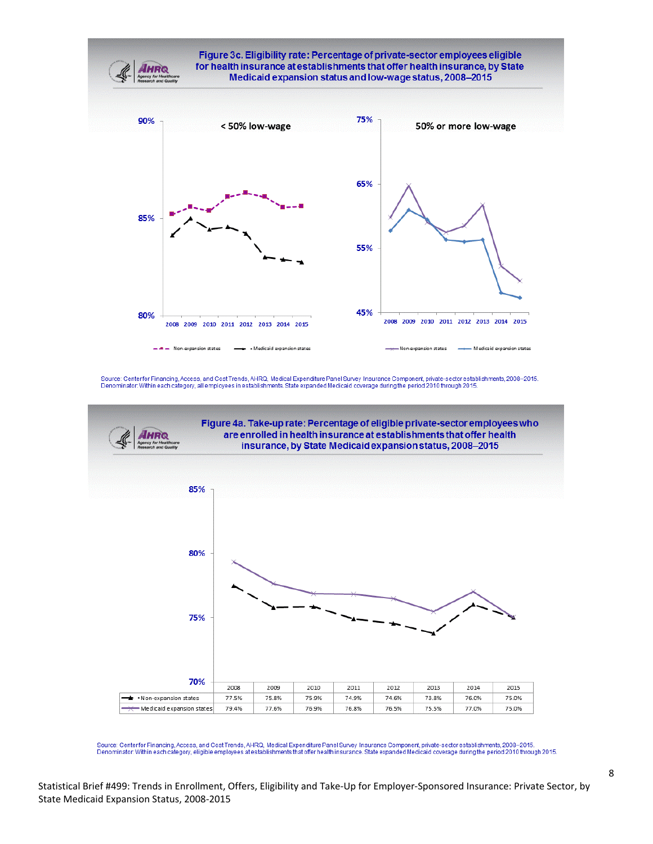

Source: Centerfor Financing, Access, and Cost Trends, AHRQ, Medical Expenditure Panel Survey Insurance Component, private-sector establishments, 2008–2015.<br>Denominator: Within each category, eligible employees at establish